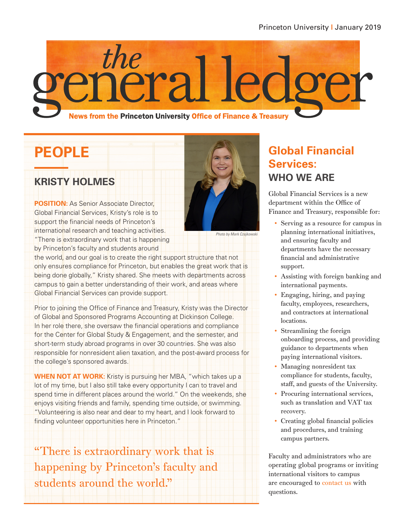

# **PEOPLE**

#### **KRISTY HOLMES**

**POSITION:** As Senior Associate Director, Global Financial Services, Kristy's role is to support the financial needs of Princeton's international research and teaching activities. "There is extraordinary work that is happening by Princeton's faculty and students around



Photo by Mark Czajkowski

the world, and our goal is to create the right support structure that not only ensures compliance for Princeton, but enables the great work that is being done globally," Kristy shared. She meets with departments across campus to gain a better understanding of their work, and areas where Global Financial Services can provide support.

Prior to joining the Office of Finance and Treasury, Kristy was the Director of Global and Sponsored Programs Accounting at Dickinson College. In her role there, she oversaw the financial operations and compliance for the Center for Global Study & Engagement, and the semester, and short-term study abroad programs in over 30 countries. She was also responsible for nonresident alien taxation, and the post-award process for the college's sponsored awards.

**WHEN NOT AT WORK:** Kristy is pursuing her MBA, "which takes up a lot of my time, but I also still take every opportunity I can to travel and spend time in different places around the world." On the weekends, she enjoys visiting friends and family, spending time outside, or swimming. "Volunteering is also near and dear to my heart, and I look forward to finding volunteer opportunities here in Princeton."

"There is extraordinary work that is happening by Princeton's faculty and students around the world."

## **Global Financial Services: WHO WE ARE**

Global Financial Services is a new department within the Office of Finance and Treasury, responsible for:

- Serving as a resource for campus in planning international initiatives, and ensuring faculty and departments have the necessary financial and administrative support.
- Assisting with foreign banking and international payments.
- Engaging, hiring, and paying faculty, employees, researchers, and contractors at international locations.
- Streamlining the foreign onboarding process, and providing guidance to departments when paying international visitors.
- Managing nonresident tax compliance for students, faculty, staff, and guests of the University.
- Procuring international services, such as translation and VAT tax recovery.
- Creating global financial policies and procedures, and training campus partners.

Faculty and administrators who are operating global programs or inviting international visitors to campus are encouraged to [contact us](https://finance.princeton.edu/our-organization/departments-people/financial-services/payment-compliance/) with questions.